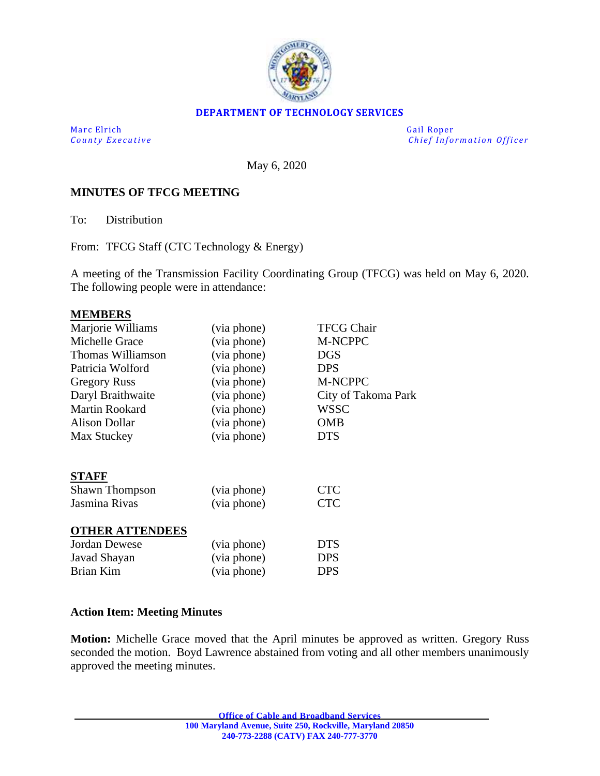

#### **DEPARTMENT OF TECHNOLOGY SERVICES**

Marc Elrich Gail Roper

*County Executive* **Executive** *County Executive Chief Information Officer* 

May 6, 2020

#### **MINUTES OF TFCG MEETING**

To: Distribution

From: TFCG Staff (CTC Technology & Energy)

A meeting of the Transmission Facility Coordinating Group (TFCG) was held on May 6, 2020. The following people were in attendance:

#### **MEMBERS**

| Marjorie Williams      | (via phone) | <b>TFCG Chair</b>   |
|------------------------|-------------|---------------------|
| Michelle Grace         | (via phone) | M-NCPPC             |
| Thomas Williamson      | (via phone) | <b>DGS</b>          |
| Patricia Wolford       | (via phone) | <b>DPS</b>          |
| <b>Gregory Russ</b>    | (via phone) | M-NCPPC             |
| Daryl Braithwaite      | (via phone) | City of Takoma Park |
| <b>Martin Rookard</b>  | (via phone) | <b>WSSC</b>         |
| <b>Alison Dollar</b>   | (via phone) | <b>OMB</b>          |
| Max Stuckey            | (via phone) | <b>DTS</b>          |
| <b>STAFF</b>           |             |                     |
| <b>Shawn Thompson</b>  | (via phone) | <b>CTC</b>          |
| Jasmina Rivas          | (via phone) | <b>CTC</b>          |
| <b>OTHER ATTENDEES</b> |             |                     |
| Jordan Dewese          | (via phone) | <b>DTS</b>          |
| Javad Shayan           | (via phone) | <b>DPS</b>          |
| Brian Kim              | (via phone) | <b>DPS</b>          |

#### **Action Item: Meeting Minutes**

**Motion:** Michelle Grace moved that the April minutes be approved as written. Gregory Russ seconded the motion. Boyd Lawrence abstained from voting and all other members unanimously approved the meeting minutes.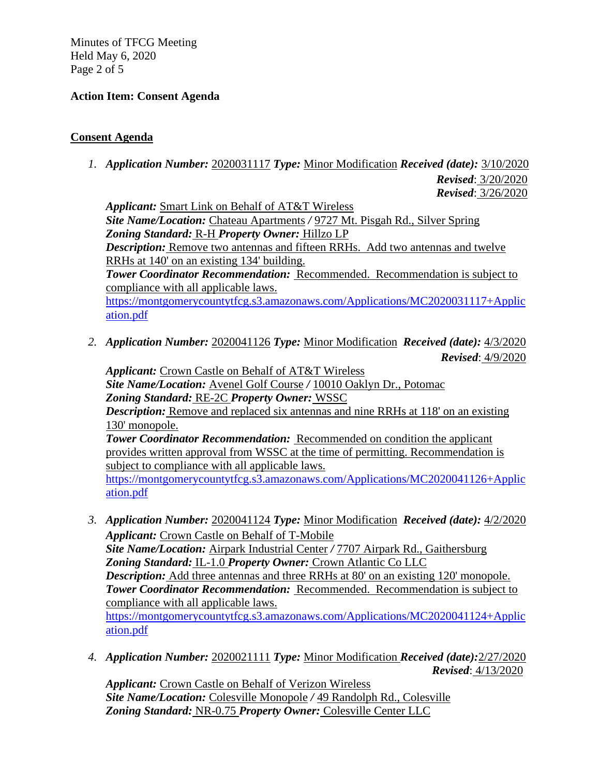Minutes of TFCG Meeting Held May 6, 2020 Page 2 of 5

## **Action Item: Consent Agenda**

## **Consent Agenda**

*1. Application Number:* 2020031117 *Type:* Minor Modification *Received (date):* 3/10/2020

*Revised*: 3/20/2020

*Revised*: 3/26/2020 *Applicant:* Smart Link on Behalf of AT&T Wireless *Site Name/Location:* Chateau Apartments */* 9727 Mt. Pisgah Rd., Silver Spring *Zoning Standard:* R-H *Property Owner:* Hillzo LP *Description:* Remove two antennas and fifteen RRHs. Add two antennas and twelve RRHs at 140' on an existing 134' building. *Tower Coordinator Recommendation:* Recommended. Recommendation is subject to compliance with all applicable laws. [https://montgomerycountytfcg.s3.amazonaws.com/Applications/MC2020031117+Applic](https://montgomerycountytfcg.s3.amazonaws.com/Applications/MC2020031117+Application.pdf) [ation.pdf](https://montgomerycountytfcg.s3.amazonaws.com/Applications/MC2020031117+Application.pdf)

*2. Application Number:* 2020041126 *Type:* Minor Modification *Received (date):* 4/3/2020 *Revised*: 4/9/2020

*Applicant:* Crown Castle on Behalf of AT&T Wireless *Site Name/Location:* Avenel Golf Course */* 10010 Oaklyn Dr., Potomac *Zoning Standard:* RE-2C *Property Owner:* WSSC *Description:* Remove and replaced six antennas and nine RRHs at 118' on an existing 130' monopole. **Tower Coordinator Recommendation:** Recommended on condition the applicant provides written approval from WSSC at the time of permitting. Recommendation is subject to compliance with all applicable laws. [https://montgomerycountytfcg.s3.amazonaws.com/Applications/MC2020041126+Applic](https://montgomerycountytfcg.s3.amazonaws.com/Applications/MC2020041126+Application.pdf) [ation.pdf](https://montgomerycountytfcg.s3.amazonaws.com/Applications/MC2020041126+Application.pdf)

- *3. Application Number:* 2020041124 *Type:* Minor Modification *Received (date):* 4/2/2020 *Applicant:* Crown Castle on Behalf of T-Mobile *Site Name/Location:* Airpark Industrial Center */* 7707 Airpark Rd., Gaithersburg *Zoning Standard:* IL-1.0 *Property Owner:* Crown Atlantic Co LLC *Description:* Add three antennas and three RRHs at 80' on an existing 120' monopole. *Tower Coordinator Recommendation:* Recommended. Recommendation is subject to compliance with all applicable laws. [https://montgomerycountytfcg.s3.amazonaws.com/Applications/MC2020041124+Applic](https://montgomerycountytfcg.s3.amazonaws.com/Applications/MC2020041124+Application.pdf) [ation.pdf](https://montgomerycountytfcg.s3.amazonaws.com/Applications/MC2020041124+Application.pdf)
- *4. Application Number:* 2020021111 *Type:* Minor Modification *Received (date):*2/27/2020 *Revised*: 4/13/2020

Applicant: Crown Castle on Behalf of Verizon Wireless *Site Name/Location:* Colesville Monopole */* 49 Randolph Rd., Colesville *Zoning Standard:* NR-0.75 *Property Owner:* Colesville Center LLC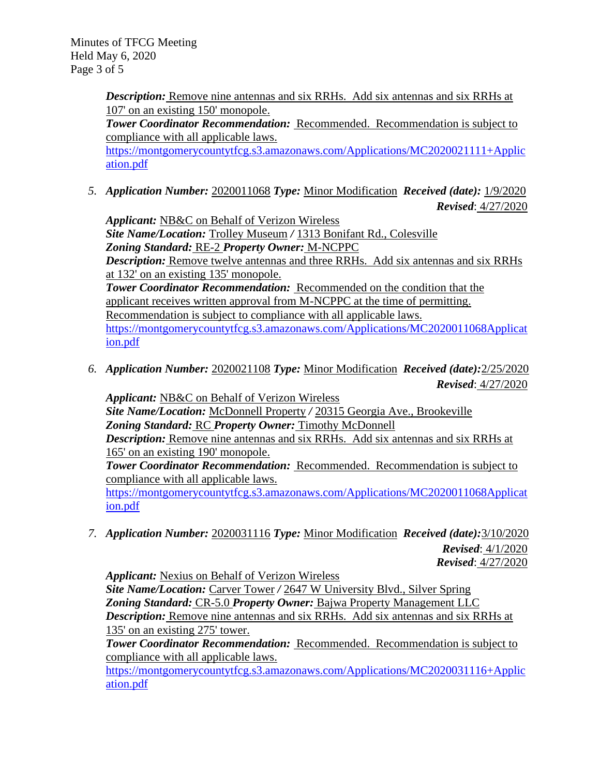Minutes of TFCG Meeting Held May 6, 2020 Page 3 of 5

> **Description:** Remove nine antennas and six RRHs. Add six antennas and six RRHs at 107' on an existing 150' monopole.

*Tower Coordinator Recommendation:* Recommended. Recommendation is subject to compliance with all applicable laws.

[https://montgomerycountytfcg.s3.amazonaws.com/Applications/MC2020021111+Applic](https://montgomerycountytfcg.s3.amazonaws.com/Applications/MC2020021111+Application.pdf) [ation.pdf](https://montgomerycountytfcg.s3.amazonaws.com/Applications/MC2020021111+Application.pdf)

*5. Application Number:* 2020011068 *Type:* Minor Modification *Received (date):* 1/9/2020

*Revised*: 4/27/2020

*Applicant:* NB&C on Behalf of Verizon Wireless *Site Name/Location:* Trolley Museum */* 1313 Bonifant Rd., Colesville *Zoning Standard:* RE-2 *Property Owner:* M-NCPPC *Description:* Remove twelve antennas and three RRHs. Add six antennas and six RRHs at 132' on an existing 135' monopole. *Tower Coordinator Recommendation:* Recommended on the condition that the applicant receives written approval from M-NCPPC at the time of permitting. Recommendation is subject to compliance with all applicable laws. [https://montgomerycountytfcg.s3.amazonaws.com/Applications/MC2020011068Applicat](https://montgomerycountytfcg.s3.amazonaws.com/Applications/MC2020011068Application.pdf) [ion.pdf](https://montgomerycountytfcg.s3.amazonaws.com/Applications/MC2020011068Application.pdf)

*6. Application Number:* 2020021108 *Type:* Minor Modification *Received (date):*2/25/2020 *Revised*: 4/27/2020

*Applicant:* NB&C on Behalf of Verizon Wireless *Site Name/Location:* McDonnell Property */* 20315 Georgia Ave., Brookeville *Zoning Standard:* RC *Property Owner:* Timothy McDonnell *Description:* Remove nine antennas and six RRHs. Add six antennas and six RRHs at 165' on an existing 190' monopole.

*Tower Coordinator Recommendation:* Recommended. Recommendation is subject to compliance with all applicable laws.

[https://montgomerycountytfcg.s3.amazonaws.com/Applications/MC2020011068Applicat](https://montgomerycountytfcg.s3.amazonaws.com/Applications/MC2020011068Application.pdf) [ion.pdf](https://montgomerycountytfcg.s3.amazonaws.com/Applications/MC2020011068Application.pdf)

*7. Application Number:* 2020031116 *Type:* Minor Modification *Received (date):*3/10/2020  *Revised*: 4/1/2020 *Revised*: 4/27/2020

*Applicant:* Nexius on Behalf of Verizon Wireless *Site Name/Location:* Carver Tower */* 2647 W University Blvd., Silver Spring *Zoning Standard:* CR-5.0 *Property Owner:* Bajwa Property Management LLC *Description:* Remove nine antennas and six RRHs. Add six antennas and six RRHs at 135' on an existing 275' tower.

*Tower Coordinator Recommendation:* Recommended. Recommendation is subject to compliance with all applicable laws.

[https://montgomerycountytfcg.s3.amazonaws.com/Applications/MC2020031116+Applic](https://montgomerycountytfcg.s3.amazonaws.com/Applications/MC2020031116+Application.pdf) [ation.pdf](https://montgomerycountytfcg.s3.amazonaws.com/Applications/MC2020031116+Application.pdf)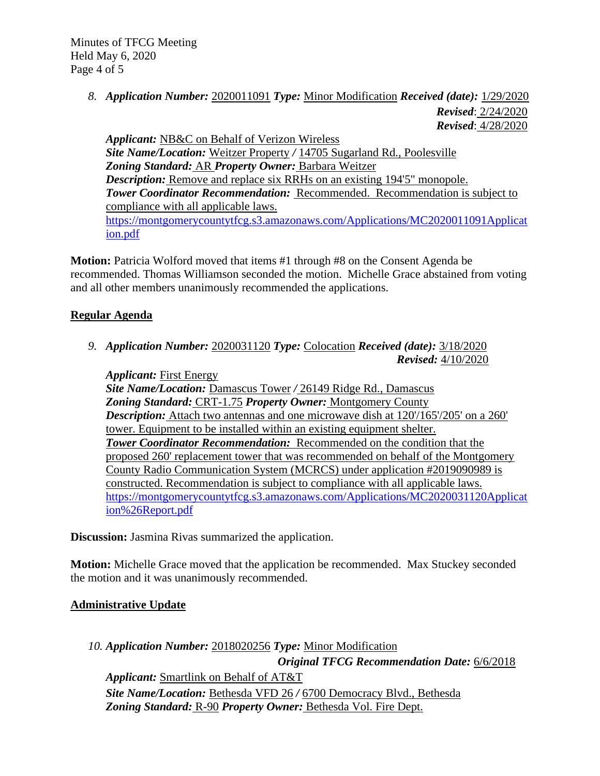Minutes of TFCG Meeting Held May 6, 2020 Page 4 of 5

> *8. Application Number:* 2020011091 *Type:* Minor Modification *Received (date):* 1/29/2020 *Revised*: 2/24/2020 *Revised*: 4/28/2020

*Applicant:* NB&C on Behalf of Verizon Wireless *Site Name/Location:* Weitzer Property */* 14705 Sugarland Rd., Poolesville *Zoning Standard:* AR *Property Owner:* Barbara Weitzer *Description:* Remove and replace six RRHs on an existing 194'5" monopole. *Tower Coordinator Recommendation:* Recommended. Recommendation is subject to compliance with all applicable laws. [https://montgomerycountytfcg.s3.amazonaws.com/Applications/MC2020011091Applicat](https://montgomerycountytfcg.s3.amazonaws.com/Applications/MC2020011091Application.pdf) [ion.pdf](https://montgomerycountytfcg.s3.amazonaws.com/Applications/MC2020011091Application.pdf)

**Motion:** Patricia Wolford moved that items #1 through #8 on the Consent Agenda be recommended. Thomas Williamson seconded the motion. Michelle Grace abstained from voting and all other members unanimously recommended the applications.

# **Regular Agenda**

*9. Application Number:* 2020031120 *Type:* Colocation *Received (date):* 3/18/2020 *Revised:* 4/10/2020

*Applicant:* First Energy *Site Name/Location:* Damascus Tower */* 26149 Ridge Rd., Damascus *Zoning Standard:* CRT-1.75 *Property Owner:* Montgomery County **Description:** Attach two antennas and one microwave dish at  $120'/165'/205'$  on a  $260'$ tower. Equipment to be installed within an existing equipment shelter. *Tower Coordinator Recommendation:* Recommended on the condition that the proposed 260' replacement tower that was recommended on behalf of the Montgomery County Radio Communication System (MCRCS) under application #2019090989 is constructed. Recommendation is subject to compliance with all applicable laws. [https://montgomerycountytfcg.s3.amazonaws.com/Applications/MC2020031120Applicat](https://montgomerycountytfcg.s3.amazonaws.com/Applications/MC2020031120Application%26Report.pdf) [ion%26Report.pdf](https://montgomerycountytfcg.s3.amazonaws.com/Applications/MC2020031120Application%26Report.pdf)

**Discussion:** Jasmina Rivas summarized the application.

**Motion:** Michelle Grace moved that the application be recommended. Max Stuckey seconded the motion and it was unanimously recommended.

# **Administrative Update**

*10. Application Number:* 2018020256 *Type:* Minor Modification *Original TFCG Recommendation Date:* 6/6/2018 *Applicant:* Smartlink on Behalf of AT&T *Site Name/Location:* Bethesda VFD 26 */* 6700 Democracy Blvd., Bethesda *Zoning Standard:* R-90 *Property Owner:* Bethesda Vol. Fire Dept.